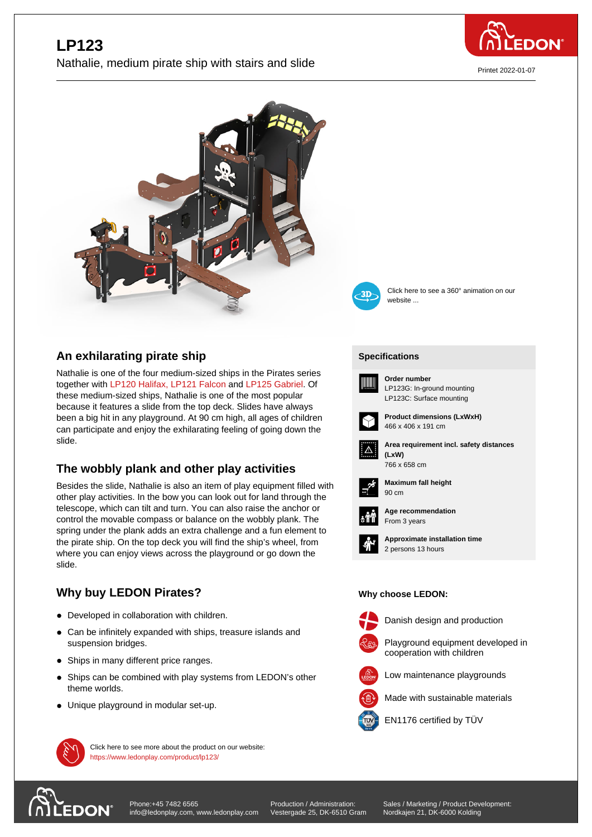

Printet 2022-01-07





W

**[Specific](https://www.ledonplay.com/product/lp123/)ations [Speci](https://www.ledonplay.com/product/lp123/)fications**

**Order number**

Click here to see a 360° animation on our website ...

## **An exhilarating pirate ship**

Nathalie is one of the four medium-sized ships in the Pirates series together with LP120 Halifax, LP121 Falcon and LP125 Gabriel. Of these medium-sized ships, Nathalie is one of the most popular because it features a slide from the top deck. Slides have always been a big hit in any playground. At 90 cm high, all ages of children can participat[e and enjoy the](https://www.ledonplay.com/product/LP120/) [exhilarating fe](https://www.ledonplay.com/product/LP121/)elin[g of going down](https://www.ledonplay.com/product/LP125/) the slide.

## **The wobbly plank and other play activities**

Besides the slide, Nathalie is also an item of play equipment filled with other play activities. In the bow you can look out for land through the telescope, which can tilt and turn. You can also raise the anchor or control the movable compass or balance on the wobbly plank. The spring under the plank adds an extra challenge and a fun element to the pirate ship. On the top deck you will find the ship's wheel, from where you can enjoy views across the playground or go down the slide.

## **Why buy LEDON Pirates?**

- Developed in collaboration with children.
- Can be infinitely expanded with ships, treasure islands and suspension bridges.
- Ships in many different price ranges.
- Ships can be combined with play systems from LEDON's other  $\bullet$ theme worlds.
- Unique playground in modular set-up.



Danish design and production



Playground equipment developed in cooperation with children



Low maintenance playgrounds Made with sustainable materials



EN1176 certified by TÜV



[Phone:+45 7482 6565](https://www.ledonplay.com/product/lp123/) info@ledonplay.com, www.ledonplay.com

Click here to see more about the product on our website:

https://www.ledonplay.com/product/lp123/

Production / Administration: Vestergade 25, DK-6510 Gram Sales / Marketing / Product Development: Nordkajen 21, DK-6000 Kolding

**Area requirement incl. safety distances (LxW) (LxW)** 766 x 658 cm

LP123G: In-ground mounting LP123C: Surface mounting

**Product dimensions (LxWxH)**



 $\Delta$ 

**Maximum fall height** 90 cm 90 cm

466 x 406 x 191 cm



**Age recommendation** From 3 years



**Approximate installation time** 2 persons 13 hours

## **Why choose LEDON: Why choose LEDON:**